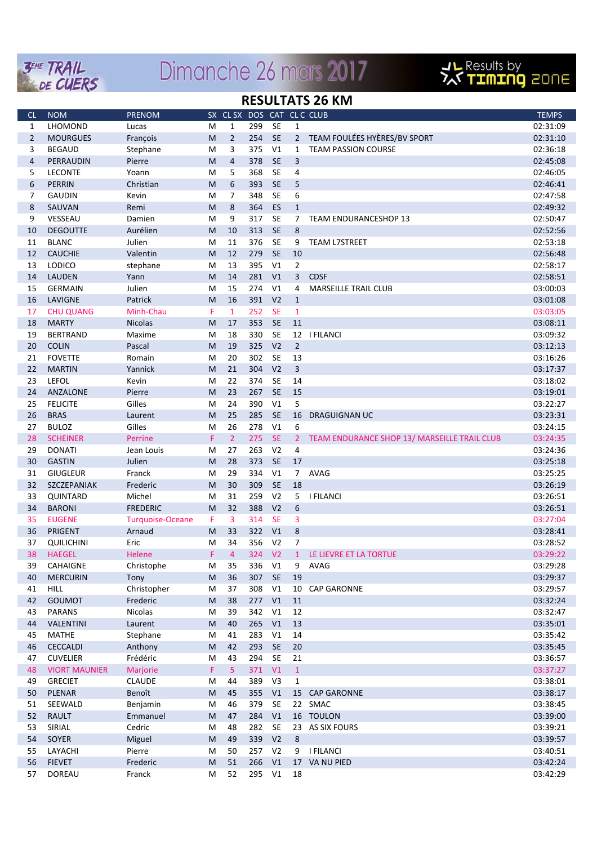

# Dimanche 26 mars 2017



#### **RESULTATS 26 KM**

| <b>CL</b>      | <b>NOM</b>           | <b>PRENOM</b>           |           | SX CL SX       |     |                |                 | DOS CAT CLC CLUB                             | <b>TEMPS</b> |
|----------------|----------------------|-------------------------|-----------|----------------|-----|----------------|-----------------|----------------------------------------------|--------------|
| 1              | LHOMOND              | Lucas                   | м         | 1              | 299 | <b>SE</b>      | 1               |                                              | 02:31:09     |
| $\overline{2}$ | <b>MOURGUES</b>      | François                | M         | $\overline{2}$ | 254 | SE             |                 | 2 TEAM FOULÉES HYÈRES/BV SPORT               | 02:31:10     |
| 3              | <b>BEGAUD</b>        | Stephane                | M         | 3              | 375 | V1             | 1               | <b>TEAM PASSION COURSE</b>                   | 02:36:18     |
| $\overline{4}$ | PERRAUDIN            | Pierre                  | M         | $\overline{4}$ | 378 | SE             | 3               |                                              | 02:45:08     |
| 5              | <b>LECONTE</b>       | Yoann                   | M         | 5              | 368 | <b>SE</b>      | 4               |                                              | 02:46:05     |
| 6              | <b>PERRIN</b>        | Christian               | M         | 6              | 393 | SE             | 5               |                                              | 02:46:41     |
| 7              | <b>GAUDIN</b>        | Kevin                   | M         | $\overline{7}$ | 348 | SE             | 6               |                                              | 02:47:58     |
| 8              | SAUVAN               | Remi                    | ${\sf M}$ | 8              | 364 | <b>ES</b>      | $\mathbf{1}$    |                                              | 02:49:32     |
| 9              | VESSEAU              | Damien                  | M         | 9              | 317 | SE             | 7               | <b>TEAM ENDURANCESHOP 13</b>                 | 02:50:47     |
| 10             | <b>DEGOUTTE</b>      | Aurélien                | ${\sf M}$ | 10             | 313 | SE             | 8               |                                              | 02:52:56     |
| 11             | <b>BLANC</b>         | Julien                  | M         | 11             | 376 | SE             | 9               | <b>TEAM L7STREET</b>                         | 02:53:18     |
| 12             | <b>CAUCHIE</b>       | Valentin                | M         | 12             | 279 | <b>SE</b>      | 10              |                                              | 02:56:48     |
| 13             | <b>LODICO</b>        | stephane                | M         | 13             | 395 | V <sub>1</sub> | 2               |                                              | 02:58:17     |
| 14             | <b>LAUDEN</b>        | Yann                    | ${\sf M}$ | 14             | 281 | V <sub>1</sub> | 3               | <b>CDSF</b>                                  | 02:58:51     |
| 15             | <b>GERMAIN</b>       | Julien                  | M         | 15             | 274 | V1             | 4               | <b>MARSEILLE TRAIL CLUB</b>                  | 03:00:03     |
| 16             | LAVIGNE              | Patrick                 | M         | 16             | 391 | V <sub>2</sub> | $\mathbf{1}$    |                                              | 03:01:08     |
| 17             | <b>CHU QUANG</b>     | Minh-Chau               | F         | $\mathbf{1}$   | 252 | <b>SE</b>      | $\mathbf{1}$    |                                              | 03:03:05     |
| 18             | <b>MARTY</b>         | <b>Nicolas</b>          | M         | 17             | 353 | <b>SE</b>      | 11              |                                              | 03:08:11     |
| 19             | <b>BERTRAND</b>      | Maxime                  | M         | 18             | 330 | SE             |                 | 12   FILANCI                                 | 03:09:32     |
| 20             | <b>COLIN</b>         | Pascal                  | M         | 19             | 325 | V <sub>2</sub> | $\overline{2}$  |                                              | 03:12:13     |
| 21             | <b>FOVETTE</b>       | Romain                  | M         | 20             | 302 | <b>SE</b>      | 13              |                                              | 03:16:26     |
| 22             | <b>MARTIN</b>        | Yannick                 | ${\sf M}$ | 21             | 304 | V <sub>2</sub> | 3               |                                              | 03:17:37     |
| 23             | <b>LEFOL</b>         | Kevin                   | M         | 22             | 374 | <b>SE</b>      | 14              |                                              | 03:18:02     |
| 24             | ANZALONE             | Pierre                  | M         | 23             | 267 | <b>SE</b>      | 15              |                                              | 03:19:01     |
| 25             | <b>FELICITE</b>      | Gilles                  | M         | 24             | 390 | V <sub>1</sub> | 5               |                                              | 03:22:27     |
| 26             | <b>BRAS</b>          | Laurent                 | M         | 25             | 285 | <b>SE</b>      | 16              | <b>DRAGUIGNAN UC</b>                         | 03:23:31     |
| 27             | <b>BULOZ</b>         | Gilles                  | M         | 26             | 278 | V1             | 6               |                                              | 03:24:15     |
| 28             | <b>SCHEINER</b>      | Perrine                 | F         | $\overline{2}$ | 275 | <b>SE</b>      | $\overline{2}$  | TEAM ENDURANCE SHOP 13/ MARSEILLE TRAIL CLUB | 03:24:35     |
| 29             | <b>DONATI</b>        | Jean Louis              | M         | 27             | 263 | V <sub>2</sub> | 4               |                                              | 03:24:36     |
| 30             | <b>GASTIN</b>        | Julien                  | M         | 28             | 373 | <b>SE</b>      | 17              |                                              | 03:25:18     |
| 31             | <b>GIUGLEUR</b>      | Franck                  | M         | 29             | 334 | V1             | $7\overline{ }$ | AVAG                                         | 03:25:25     |
| 32             | SZCZEPANIAK          | Frederic                | M         | 30             | 309 | <b>SE</b>      | 18              |                                              | 03:26:19     |
| 33             | QUINTARD             | Michel                  | M         | 31             | 259 | V <sub>2</sub> | 5               | <b>I FILANCI</b>                             | 03:26:51     |
| 34             | <b>BARONI</b>        | <b>FREDERIC</b>         | ${\sf M}$ | 32             | 388 | V <sub>2</sub> | 6               |                                              | 03:26:51     |
| 35             | <b>EUGENE</b>        | <b>Turquoise-Oceane</b> | F         | 3              | 314 | <b>SE</b>      | 3               |                                              | 03:27:04     |
| 36             | PRIGENT              | Arnaud                  | M         | 33             | 322 | V1             | 8               |                                              | 03:28:41     |
| 37             | <b>QUILICHINI</b>    | Eric                    | M         | 34             | 356 | V <sub>2</sub> | 7               |                                              | 03:28:52     |
| 38             | <b>HAEGEL</b>        | Helene                  | F         | 4              | 324 | V <sub>2</sub> | $\mathbf{1}$    | LE LIEVRE ET LA TORTUE                       | 03:29:22     |
| 39             | CAHAIGNE             | Christophe              | М         | 35             | 336 | V1             | 9               | AVAG                                         | 03:29:28     |
| 40             | <b>MERCURIN</b>      | Tony                    | ${\sf M}$ | 36             | 307 | SE             | 19              |                                              | 03:29:37     |
| 41             | <b>HILL</b>          | Christopher             | M         | 37             | 308 | V1             |                 | 10 CAP GARONNE                               | 03:29:57     |
| 42             | GOUMOT               | Frederic                | M         | 38             | 277 | V1             | 11              |                                              | 03:32:24     |
| 43             | <b>PARANS</b>        | Nicolas                 | M         | 39             | 342 | V1             | 12              |                                              | 03:32:47     |
| 44             | VALENTINI            | Laurent                 | ${\sf M}$ | 40             | 265 | V1             | 13              |                                              | 03:35:01     |
| 45             | <b>MATHE</b>         | Stephane                | M         | 41             | 283 | V1             | 14              |                                              | 03:35:42     |
| 46             | <b>CECCALDI</b>      | Anthony                 | ${\sf M}$ | 42             | 293 | SE             | 20              |                                              | 03:35:45     |
| 47             | <b>CUVELIER</b>      | Frédéric                | M         | 43             | 294 | SE             | 21              |                                              | 03:36:57     |
| 48             | <b>VIORT MAUNIER</b> | Marjorie                | F         | 5              | 371 | V1             | $\,1\,$         |                                              | 03:37:27     |
| 49             | <b>GRECIET</b>       | <b>CLAUDE</b>           | M         | 44             | 389 | V3             | $\mathbf{1}$    |                                              | 03:38:01     |
| 50             | <b>PLENAR</b>        | Benoît                  | M         | 45             | 355 | V1             |                 | 15 CAP GARONNE                               | 03:38:17     |
| 51             | SEEWALD              | Benjamin                | M         | 46             | 379 | SE             |                 | 22 SMAC                                      | 03:38:45     |
| 52             | <b>RAULT</b>         | Emmanuel                | ${\sf M}$ | 47             | 284 | V1             |                 | 16 TOULON                                    | 03:39:00     |
| 53             | SIRIAL               | Cedric                  | M         | 48             | 282 | SE             |                 | 23 AS SIX FOURS                              | 03:39:21     |
| 54             | SOYER                | Miguel                  | ${\sf M}$ | 49             | 339 | V <sub>2</sub> | $\bf 8$         |                                              | 03:39:57     |
| 55             | LAYACHI              | Pierre                  | M         | 50             | 257 | V <sub>2</sub> | 9               | <b>I FILANCI</b>                             | 03:40:51     |
| 56             | <b>FIEVET</b>        | Frederic                | M         | 51             | 266 | V1             |                 | 17 VA NU PIED                                | 03:42:24     |
| 57             | DOREAU               | Franck                  | M         | 52             | 295 | V1             | 18              |                                              | 03:42:29     |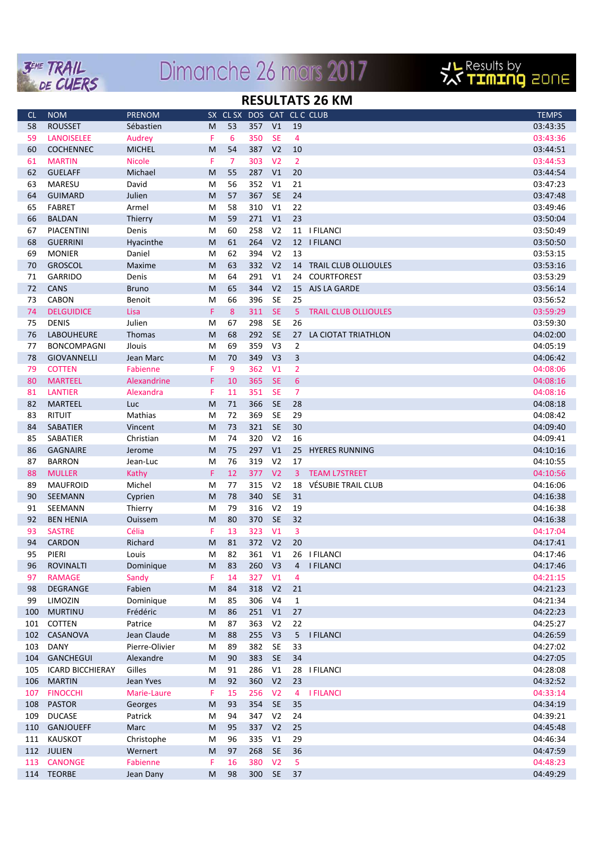

## Dimanche 26 mars 2017



#### **RESULTATS 26 KM**

| <sub>CL</sub> | <b>NOM</b>              | <b>PRENOM</b>  | <b>SX</b> | CL SX |     |                |                         | DOS CAT CLC CLUB            | <b>TEMPS</b> |
|---------------|-------------------------|----------------|-----------|-------|-----|----------------|-------------------------|-----------------------------|--------------|
| 58            | <b>ROUSSET</b>          | Sébastien      | M         | 53    | 357 | V1             | 19                      |                             | 03:43:35     |
| 59            | <b>LANOISELEE</b>       | Audrey         | F         | 6     | 350 | <b>SE</b>      | $\overline{4}$          |                             | 03:43:36     |
| 60            | <b>COCHENNEC</b>        | <b>MICHEL</b>  | M         | 54    | 387 | V <sub>2</sub> | 10                      |                             | 03:44:51     |
| 61            | <b>MARTIN</b>           | <b>Nicole</b>  | F         | 7     | 303 | V <sub>2</sub> | 2                       |                             | 03:44:53     |
| 62            | <b>GUELAFF</b>          | Michael        | M         | 55    | 287 | V1             | 20                      |                             | 03:44:54     |
| 63            | <b>MARESU</b>           | David          | M         | 56    | 352 | V <sub>1</sub> | 21                      |                             | 03:47:23     |
| 64            | <b>GUIMARD</b>          | Julien         | M         | 57    | 367 | <b>SE</b>      | 24                      |                             | 03:47:48     |
| 65            | <b>FABRET</b>           | Armel          | M         | 58    | 310 | V <sub>1</sub> | 22                      |                             | 03:49:46     |
| 66            | <b>BALDAN</b>           | Thierry        | M         | 59    | 271 | V1             | 23                      |                             | 03:50:04     |
| 67            | PIACENTINI              | Denis          |           | 60    | 258 | V <sub>2</sub> |                         | 11   FILANCI                | 03:50:49     |
| 68            | <b>GUERRINI</b>         |                | M         | 61    | 264 | V <sub>2</sub> |                         | 12   FILANCI                | 03:50:50     |
|               |                         | Hyacinthe      | M         | 62    |     | V <sub>2</sub> | 13                      |                             |              |
| 69            | <b>MONIER</b>           | Daniel         | M         |       | 394 |                |                         |                             | 03:53:15     |
| 70            | <b>GROSCOL</b>          | Maxime         | M         | 63    | 332 | V <sub>2</sub> |                         | 14 TRAIL CLUB OLLIOULES     | 03:53:16     |
| 71            | <b>GARRIDO</b>          | Denis          | M         | 64    | 291 | V1             | 24                      | <b>COURTFOREST</b>          | 03:53:29     |
| 72            | CANS                    | <b>Bruno</b>   | M         | 65    | 344 | V <sub>2</sub> |                         | 15 AJS LA GARDE             | 03:56:14     |
| 73            | <b>CABON</b>            | Benoit         | M         | 66    | 396 | SE             | 25                      |                             | 03:56:52     |
| 74            | <b>DELGUIDICE</b>       | Lisa           | F         | 8     | 311 | SE             | 5                       | <b>TRAIL CLUB OLLIOULES</b> | 03:59:29     |
| 75            | <b>DENIS</b>            | Julien         | M         | 67    | 298 | <b>SE</b>      | 26                      |                             | 03:59:30     |
| 76            | LABOUHEURE              | Thomas         | M         | 68    | 292 | <b>SE</b>      | 27                      | LA CIOTAT TRIATHLON         | 04:02:00     |
| 77            | <b>BONCOMPAGNI</b>      | Jlouis         | M         | 69    | 359 | V <sub>3</sub> | $\overline{2}$          |                             | 04:05:19     |
| 78            | <b>GIOVANNELLI</b>      | Jean Marc      | M         | 70    | 349 | V <sub>3</sub> | $\overline{\mathbf{3}}$ |                             | 04:06:42     |
| 79            | <b>COTTEN</b>           | Fabienne       | F         | 9     | 362 | V <sub>1</sub> | $\overline{2}$          |                             | 04:08:06     |
| 80            | <b>MARTEEL</b>          | Alexandrine    | F         | 10    | 365 | <b>SE</b>      | 6                       |                             | 04:08:16     |
| 81            | <b>LANTIER</b>          | Alexandra      | F         | 11    | 351 | SE             | $\overline{7}$          |                             | 04:08:16     |
| 82            | <b>MARTEEL</b>          | Luc            | M         | 71    | 366 | <b>SE</b>      | 28                      |                             | 04:08:18     |
| 83            | <b>RITUIT</b>           | Mathias        | M         | 72    | 369 | <b>SE</b>      | 29                      |                             | 04:08:42     |
| 84            | <b>SABATIER</b>         | Vincent        | M         | 73    | 321 | <b>SE</b>      | 30                      |                             | 04:09:40     |
| 85            | SABATIER                | Christian      | M         | 74    | 320 | V <sub>2</sub> | 16                      |                             | 04:09:41     |
| 86            | <b>GAGNAIRE</b>         | Jerome         | M         | 75    | 297 | V1             | 25                      | <b>HYERES RUNNING</b>       | 04:10:16     |
| 87            | <b>BARRON</b>           | Jean-Luc       | M         | 76    | 319 | V <sub>2</sub> | 17                      |                             | 04:10:55     |
| 88            | <b>MULLER</b>           | Kathy          | F         | 12    | 377 | V <sub>2</sub> |                         | 3 TEAM L7STREET             | 04:10:56     |
| 89            | <b>MAUFROID</b>         | Michel         | M         | 77    | 315 | V <sub>2</sub> | 18                      | VÉSUBIE TRAIL CLUB          | 04:16:06     |
| 90            | SEEMANN                 | Cyprien        | M         | 78    | 340 | <b>SE</b>      | 31                      |                             | 04:16:38     |
| 91            | SEEMANN                 | Thierry        | M         | 79    | 316 | V <sub>2</sub> | 19                      |                             | 04:16:38     |
| 92            | <b>BEN HENIA</b>        | Ouissem        | M         | 80    | 370 | <b>SE</b>      | 32                      |                             | 04:16:38     |
| 93            | <b>SASTRE</b>           | Célia          | F         | 13    | 323 | V <sub>1</sub> | 3                       |                             | 04:17:04     |
| 94            | <b>CARDON</b>           | Richard        | M         | 81    | 372 | V <sub>2</sub> | 20                      |                             | 04:17:41     |
| 95            | PIERI                   | Louis          | M         | 82    | 361 | V1             |                         | 26 I FILANCI                | 04:17:46     |
| 96            | <b>ROVINALTI</b>        | Dominique      | M         | 83    | 260 | V <sub>3</sub> |                         | 4   FILANCI                 | 04:17:46     |
| 97            | <b>RAMAGE</b>           | Sandy          | F.        | 14    | 327 | V1             | 4                       |                             | 04:21:15     |
| 98            | DEGRANGE                | Fabien         | M         | 84    | 318 | V <sub>2</sub> | 21                      |                             | 04:21:23     |
| 99            | LIMOZIN                 | Dominique      | M         | 85    | 306 | V <sub>4</sub> | $\mathbf{1}$            |                             | 04:21:34     |
| 100           | <b>MURTINU</b>          | Frédéric       | M         | 86    | 251 | V1             | 27                      |                             | 04:22:23     |
| 101           | COTTEN                  | Patrice        | M         | 87    | 363 | V <sub>2</sub> | 22                      |                             | 04:25:27     |
| 102           | CASANOVA                | Jean Claude    | M         | 88    | 255 | V <sub>3</sub> | 5 <sub>1</sub>          | <b>I FILANCI</b>            | 04:26:59     |
| 103           | DANY                    | Pierre-Olivier | M         | 89    | 382 | SE             | 33                      |                             | 04:27:02     |
| 104           | <b>GANCHEGUI</b>        | Alexandre      | M         | 90    | 383 | SE             | 34                      |                             | 04:27:05     |
| 105           | <b>ICARD BICCHIERAY</b> | Gilles         | M         | 91    | 286 | V1             |                         | 28 I FILANCI                | 04:28:08     |
|               |                         |                |           |       |     |                |                         |                             |              |
| 106           | <b>MARTIN</b>           | Jean Yves      | M         | 92    | 360 | V <sub>2</sub> | 23                      |                             | 04:32:52     |
| 107           | <b>FINOCCHI</b>         | Marie-Laure    | F.        | 15    | 256 | V <sub>2</sub> | 4                       | <b>I FILANCI</b>            | 04:33:14     |
| 108           | <b>PASTOR</b>           | Georges        | M         | 93    | 354 | SE             | 35                      |                             | 04:34:19     |
| 109           | <b>DUCASE</b>           | Patrick        | M         | 94    | 347 | V <sub>2</sub> | 24                      |                             | 04:39:21     |
| 110           | GANJOUEFF               | Marc           | M         | 95    | 337 | V <sub>2</sub> | 25                      |                             | 04:45:48     |
| 111           | KAUSKOT                 | Christophe     | M         | 96    | 335 | V1             | 29                      |                             | 04:46:34     |
|               | 112 JULIEN              | Wernert        | M         | 97    | 268 | <b>SE</b>      | 36                      |                             | 04:47:59     |
| 113           | <b>CANONGE</b>          | Fabienne       | F.        | 16    | 380 | V <sub>2</sub> | 5                       |                             | 04:48:23     |
|               | 114 TEORBE              | Jean Dany      | M         | 98    | 300 | SE             | 37                      |                             | 04:49:29     |